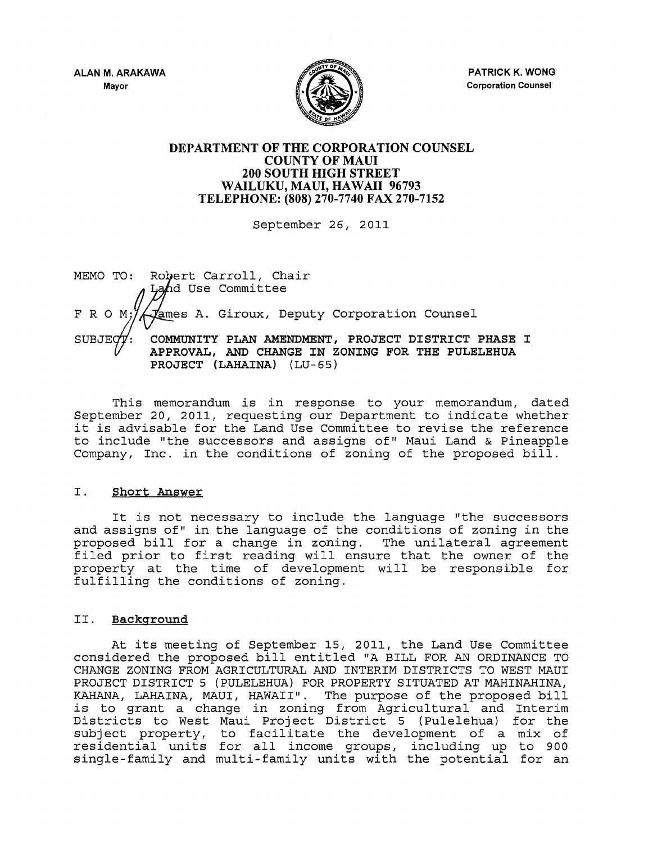

PATRICK K. WONG Corporation Counsel

## DEPARTMENT OF THE CORPORATION COUNSEL COUNTY OF MAUl 200 SOUTH HIGH STREET WAILUKU, MAUl, HAWAII 96793 TELEPHONE: (808) 270-7740 FAX 270-7152

September 26, 2011

MEMO TO: Robert Carroll, Chair Land Use Committee F R O M;/ *Liames A. Giroux, Deputy Corporation Counsel* SUBJEQY: COMMUNITY PLAN AMENDMENT, PROJECT DISTRICT PHASE I APPROVAL, AND CHANGE IN ZONING FOR THE PULELEHUA PROJECT (LAHAINA) (LU-65)

This memorandum is in response to your memorandum, dated September 20, 2011, requesting our Department to indicate whether it is advisable for the Land Use Committee to revise the reference to include "the successors and assigns of" Maui Land & Pineapple Company, Inc. in the conditions of zoning of the proposed bill.

## I. Short Answer

It is not necessary to include the language "the successors and assigns of" in the language of the conditions of zoning in the proposed bill for a change in zoning. The unilateral agreement filed prior to first reading will ensure that the owner of the property at the time of development will be responsible for fulfilling the conditions of zoning.

# II. Background

At its meeting of September 15, 2011, the Land Use Committee considered the proposed bill entitled "A BILL FOR AN ORDINANCE TO CHANGE ZONING FROM AGRICULTURAL AND INTERIM DISTRICTS TO WEST MAUl PROJECT DISTRICT 5 (PULELEHUA) FOR PROPERTY SITUATED AT MAHINAHINA, KAHANA, LAHAINA, MAUI, HAWAII". The purpose of the proposed bill is to grant a change in zoning from Agricultural and Interim Districts to West Maui Project District 5 (Pulelehua) for the Biberrees to west haar rroject Biberree 5 (rarerenaa) for the<br>subject property, to facilitate the development of a mix of subject property, to facificate the development of a mix of<br>residential units for all income groups, including up to 900 single-family and multi-family units with the potential for an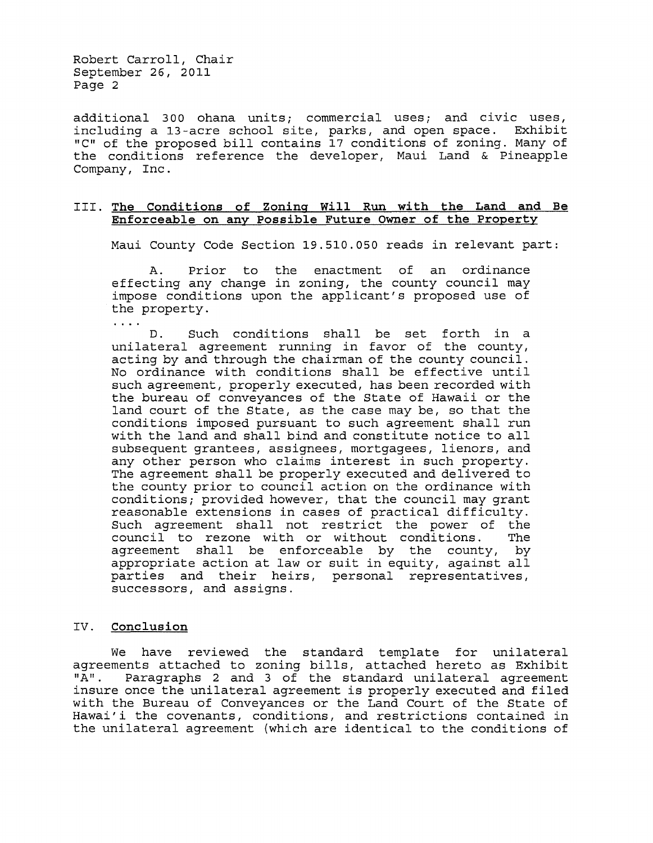Robert Carroll, Chair September 26, 2011 Page 2

additional 300 ohana units; commercial uses; and civic uses, including a 13-acre school site, parks, and open space. Exhibit "C" of the proposed bill contains 17 conditions of zoning. Many of the conditions reference the developer, Maui Land & Pineapple Company, Inc.

#### III. **The Conditions of Zoning Will Run with the Land and Be Enforceable on any possible Future Owner of the Property**

Maui County Code Section 19.510.050 reads in relevant part:

A. Prior to the enactment of an ordinance effecting any change in zoning, the county council may impose conditions upon the applicant's proposed use of the property.

D. Such conditions shall be set forth in a unilateral agreement running in favor of the county, acting by and through the chairman of the county council. No ordinance with conditions shall be effective until such agreement, properly executed, has been recorded with the bureau of conveyances of the State of Hawaii or the land court of the State, as the case may be, so that the conditions imposed pursuant to such agreement shall run with the land and shall bind and constitute notice to all subsequent grantees, assignees, mortgagees, lienors, and any other person who claims interest in such property. The agreement shall be properly executed and delivered to the county prior to council action on the ordinance with conditions; provided however, that the council may grant reasonable extensions in cases of practical difficulty. Such agreement shall not restrict the power of the<br>council to rezone with or without conditions. The council to rezone with or without conditions. agreement shall be enforceable by the county, by agreement bhair be embered by the edding, by parties and their heirs, personal representatives, successors, and assigns.

## IV. **Conclusion**

 $\cdots$ 

We have reviewed the standard template for unilateral agreements attached to zoning bills, attached hereto as Exhibit<br>"A". Paragraphs 2 and 3 of the standard unilateral agreement Paragraphs 2 and 3 of the standard unilateral agreement insure once the unilateral agreement is properly executed and filed with the Bureau of Conveyances or the Land Court of the State of Hawai'i the covenants, conditions, and restrictions contained in the unilateral agreement (which are identical to the conditions of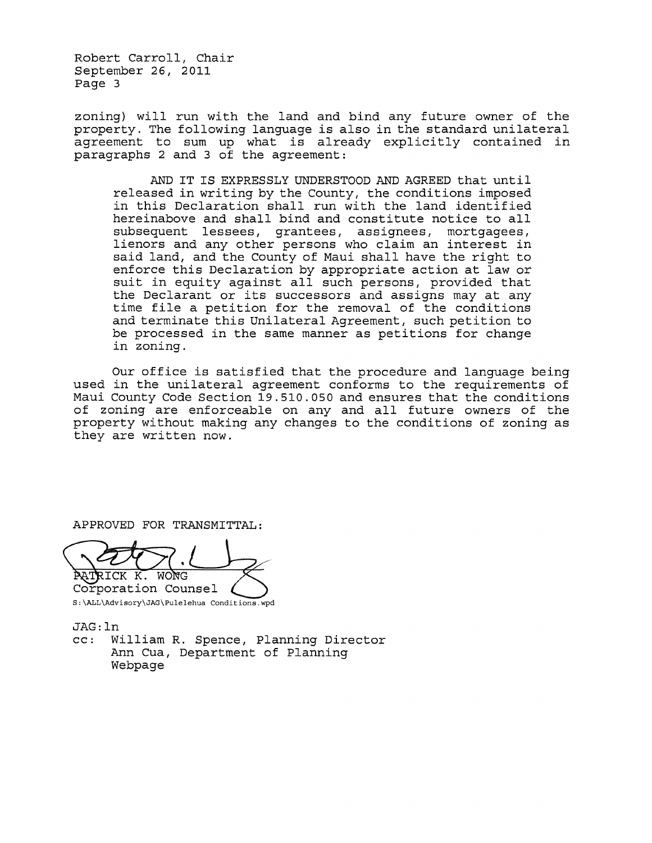Robert Carroll, Chair September 26, 2011 Page 3

zoning) will run with the land and bind any future owner of the property. The following language is also in the standard unilateral agreement to sum up what is already explicitly contained in paragraphs 2 and 3 of the agreement:

AND IT IS EXPRESSLY UNDERSTOOD AND AGREED that until released in writing by the County, the conditions imposed in this Declaration shall run with the land identified hereinabove and shall bind and constitute notice to all subsequent lessees, grantees, assignees, mortgagees, lienors and any other persons who claim an interest in said land, and the County of Maui shall have the right to enforce this Declaration by appropriate action at law or suit in equity against all such persons, provided that the Declarant or its successors and assigns may at any time file a petition for the removal of the conditions and terminate this Unilateral Agreement, such petition to be processed in the same manner as petitions for change in zoning.

Our office is satisfied that the procedure and language being used in the unilateral agreement conforms to the requirements of Maui County Code Section 19.510.050 and ensures that the conditions of zoning are enforceable on any and all future owners of the property without making any changes to the conditions of zoning as they are written now.

APPROVED FOR TRANSMITTAL:

RICK K. WONG Corporation Counsel

S:\ALL\Advisory\JAG\Pulelehua Conditions.wpd

JAG: In

cc: William R. Spence, Planning Director Ann Cua, Department of Planning Webpage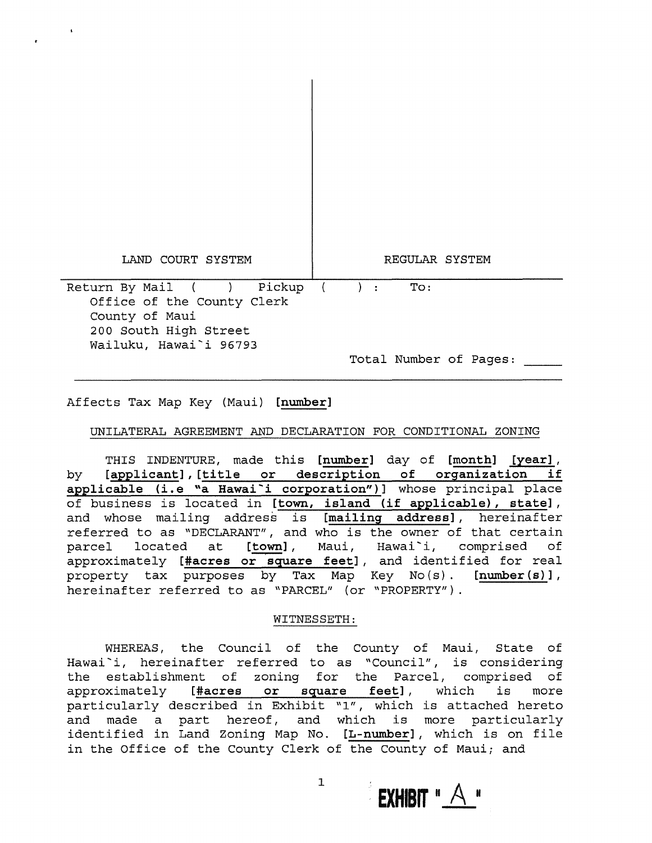| LAND COURT SYSTEM                                                                                                            | REGULAR SYSTEM                                                 |
|------------------------------------------------------------------------------------------------------------------------------|----------------------------------------------------------------|
| Return By Mail ( ) Pickup<br>Office of the County Clerk<br>County of Maui<br>200 South High Street<br>Wailuku, Hawai`i 96793 | To:<br>$\rightarrow$ :<br>$\sqrt{2}$<br>Total Number of Pages: |

 $\mathbf{I}$ 

Affects Tax Map Key (Maui) [number]

UNILATERAL AGREEMENT AND DECLARATION FOR CONDITIONAL ZONING

THIS INDENTURE, made this [number] day of [month] [year], by [applicant] , [title or description of organization if applicable (i.e "a Hawai'i corporation")] whose principal place of business is located in [town, island (if applicable), state], and whose mailing address is [mailing address], hereinafter referred to as "DECLARANT", and who is the owner of that certain<br>parcel located at [town], Maui, Hawai`i, comprised of parcel located at [town], Maui, Hawai<sup>-</sup>i, approximately [#acres or square feet], and identified for real property tax purposes by Tax Map Key No(s). [number(s)], hereinafter referred to as "PARCEL" (or "PROPERTY").

## WITNESSETH:

WHEREAS, the Council of the County of Maui, State of Hawai i, hereinafter referred to as "Council", is considering the establishment of zoning for the Parcel, comprised of approximately [#acres or square feet], which is more particularly described in Exhibit "1", which is attached hereto and made a part hereof, and which is more particularly identified in Land Zoning Map No. [L-number], which is on file in the Office of the County Clerk of the County of Maui; and

**EXHIBIT**  $^{\prime\prime}$   $\overline{A}$   $^{\prime\prime}$ 

1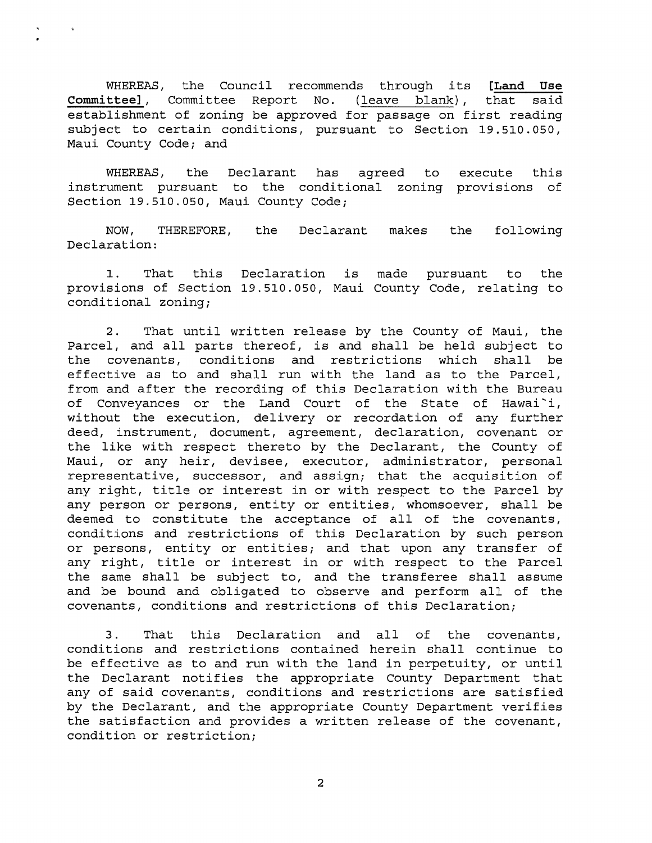WHEREAS, the Council recommends through its **[Land Use Committee],** Committee Report No. (leave blank), establishment of zoning be approved for passage on first reading subject to certain conditions, pursuant to Section 19.510.050, Maui County Code; and

WHEREAS, the Declarant has instrument pursuant to the conditional zoning provisions of Section 19.510.050, Maui County Code; agreed to execute this

NOW, THEREFORE, Declaration: the Declarant makes the following

1. That this Declaration provisions of Section 19.510.050, Maui County Code, relating to conditional zoning; pursuant to the

2. That until written release by the County of Maui, the Parcel, and all parts thereof, is and shall be held subject to<br>the covenants, conditions and restrictions which shall be the covenants, conditions and restrictions which effective as to and shall run with the land as to the Parcel, from and after the recording of this Declaration with the Bureau of Conveyances or the Land Court of the State of Hawai'i, without the execution, delivery or recordation of any further deed, instrument, document, agreement, declaration, covenant or the like with respect thereto by the Declarant, the County of Maui, or any heir, devisee, executor, administrator, personal representative, successor, and assign; that the acquisition of any right, title or interest in or with respect to the Parcel by any person or persons, entity or entities, whomsoever, shall be deemed to constitute the acceptance of all of the covenants, conditions and restrictions of this Declaration by such person or persons, entity or entities; and that upon any transfer of any right, title or interest in or with respect to the Parcel the same shall be subject to, and the transferee shall assume and be bound and obligated to observe and perform all of the covenants, conditions and restrictions of this Declaration;

3. That this Declaration and all of the covenants, conditions and restrictions contained herein shall continue to be effective as to and run with the land in perpetuity, or until the Declarant notifies the appropriate County Department that any of said covenants, conditions and restrictions are satisfied by the Declarant, and the appropriate County Department verifies the satisfaction and provides a written release of the covenant, condition or restriction;

2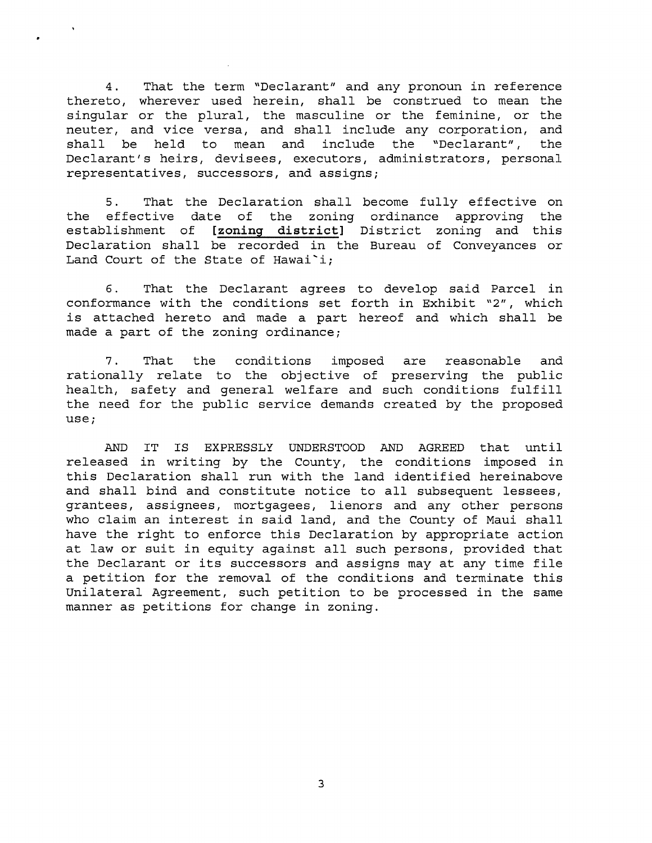4. That the term "Declarant" and any pronoun in reference thereto, wherever used herein, shall be construed to mean the singular or the plural, the masculine or the feminine, or the neuter, and vice versa, and shall include any corporation, and shall be held to mean and include the "Declarant", the Declarant's heirs, devisees, executors, administrators, personal representatives, successors, and assigns;

5. That the Declaration shall become fully effective on the effective date of the zoning ordinance approving the establishment of **[zoning district]** District zoning and this Declaration shall be recorded in the Bureau of Conveyances or Land Court of the State of Hawai'i;

6. That the Declarant agrees to develop said Parcel in conformance with the conditions set forth in Exhibit "2", which is attached hereto and made a part hereof and which shall be made a part of the zoning ordinance;

7. That the conditions imposed are reasonable and rationally relate to the objective of preserving the public health, safety and general welfare and such conditions fulfill the need for the public service demands created by the proposed use;

AND IT IS EXPRESSLY UNDERSTOOD AND AGREED that until released in writing by the County, the conditions imposed in this Declaration shall run with the land identified hereinabove and shall bind and constitute notice to all subsequent lessees, grantees, assignees, mortgagees, lienors and any other persons who claim an interest in said land, and the County of Maui shall have the right to enforce this Declaration by appropriate action at law or suit in equity against all such persons, provided that the Declarant or its successors and assigns may at any time file a petition for the removal of the conditions and terminate this Unilateral Agreement, such petition to be processed in the same manner as petitions for change in zoning.

3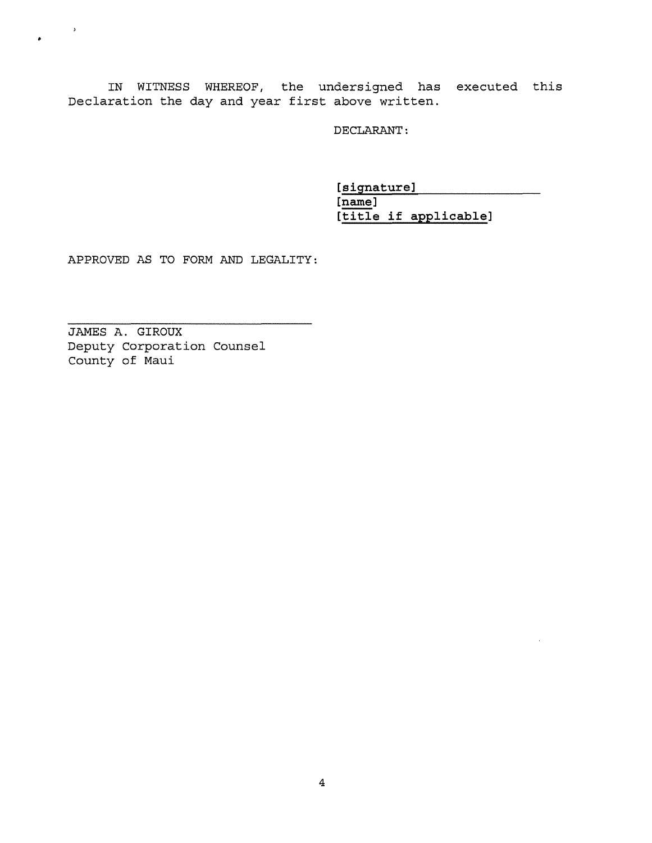IN WITNESS WHEREOF/ the undersigned has executed this Declaration the day and year first above written.

DECLARANT:

**[signature]**   $[name]$ **[title if applicable]** 

APPROVED AS TO FORM AND LEGALITY:

JAMES A. GIROUX Deputy Corporation Counsel County of Maui

 $\mathcal{O}(\mathbb{R}^3)$ 

 $\bullet$